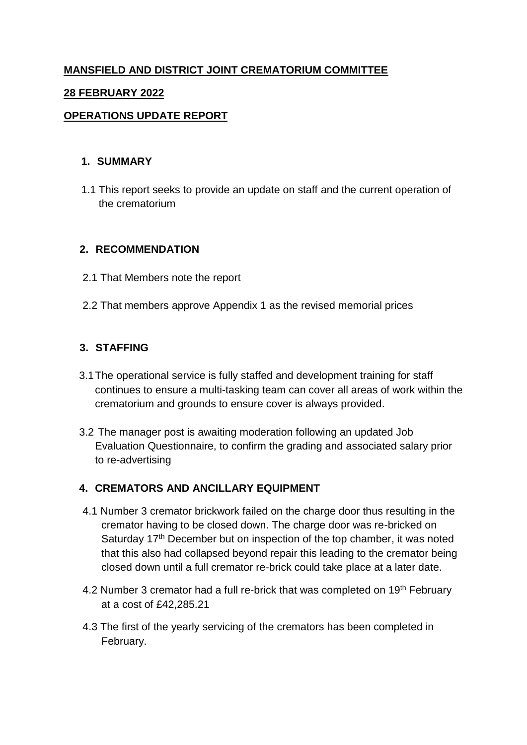# **MANSFIELD AND DISTRICT JOINT CREMATORIUM COMMITTEE**

#### **28 FEBRUARY 2022**

#### **OPERATIONS UPDATE REPORT**

#### **1. SUMMARY**

1.1 This report seeks to provide an update on staff and the current operation of the crematorium

#### **2. RECOMMENDATION**

- 2.1 That Members note the report
- 2.2 That members approve Appendix 1 as the revised memorial prices

## **3. STAFFING**

- 3.1The operational service is fully staffed and development training for staff continues to ensure a multi-tasking team can cover all areas of work within the crematorium and grounds to ensure cover is always provided.
- 3.2 The manager post is awaiting moderation following an updated Job Evaluation Questionnaire, to confirm the grading and associated salary prior to re-advertising

## **4. CREMATORS AND ANCILLARY EQUIPMENT**

- 4.1 Number 3 cremator brickwork failed on the charge door thus resulting in the cremator having to be closed down. The charge door was re-bricked on Saturday 17<sup>th</sup> December but on inspection of the top chamber, it was noted that this also had collapsed beyond repair this leading to the cremator being closed down until a full cremator re-brick could take place at a later date.
- 4.2 Number 3 cremator had a full re-brick that was completed on 19<sup>th</sup> February at a cost of £42,285.21
- 4.3 The first of the yearly servicing of the cremators has been completed in February.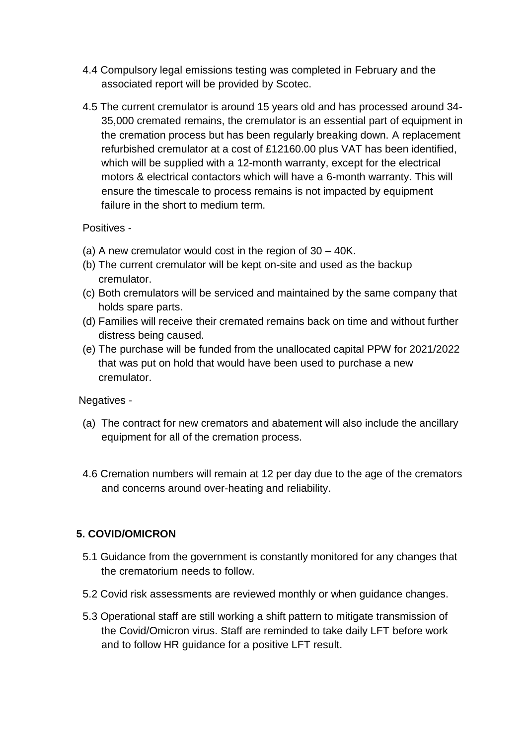- 4.4 Compulsory legal emissions testing was completed in February and the associated report will be provided by Scotec.
- 4.5 The current cremulator is around 15 years old and has processed around 34- 35,000 cremated remains, the cremulator is an essential part of equipment in the cremation process but has been regularly breaking down. A replacement refurbished cremulator at a cost of £12160.00 plus VAT has been identified, which will be supplied with a 12-month warranty, except for the electrical motors & electrical contactors which will have a 6-month warranty. This will ensure the timescale to process remains is not impacted by equipment failure in the short to medium term.

## Positives -

- (a) A new cremulator would cost in the region of 30 40K.
- (b) The current cremulator will be kept on-site and used as the backup cremulator.
- (c) Both cremulators will be serviced and maintained by the same company that holds spare parts.
- (d) Families will receive their cremated remains back on time and without further distress being caused.
- (e) The purchase will be funded from the unallocated capital PPW for 2021/2022 that was put on hold that would have been used to purchase a new cremulator.

Negatives -

- (a) The contract for new cremators and abatement will also include the ancillary equipment for all of the cremation process.
- 4.6 Cremation numbers will remain at 12 per day due to the age of the cremators and concerns around over-heating and reliability.

## **5. COVID/OMICRON**

- 5.1 Guidance from the government is constantly monitored for any changes that the crematorium needs to follow.
- 5.2 Covid risk assessments are reviewed monthly or when guidance changes.
- 5.3 Operational staff are still working a shift pattern to mitigate transmission of the Covid/Omicron virus. Staff are reminded to take daily LFT before work and to follow HR guidance for a positive LFT result.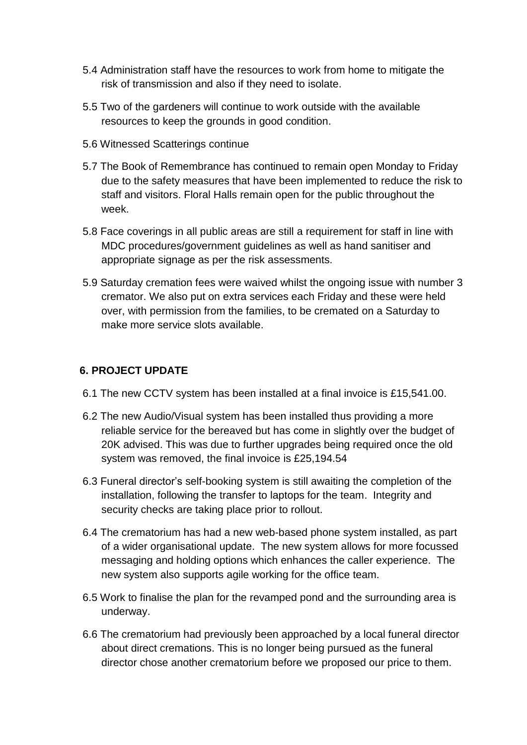- 5.4 Administration staff have the resources to work from home to mitigate the risk of transmission and also if they need to isolate.
- 5.5 Two of the gardeners will continue to work outside with the available resources to keep the grounds in good condition.
- 5.6 Witnessed Scatterings continue
- 5.7 The Book of Remembrance has continued to remain open Monday to Friday due to the safety measures that have been implemented to reduce the risk to staff and visitors. Floral Halls remain open for the public throughout the week.
- 5.8 Face coverings in all public areas are still a requirement for staff in line with MDC procedures/government guidelines as well as hand sanitiser and appropriate signage as per the risk assessments.
- 5.9 Saturday cremation fees were waived whilst the ongoing issue with number 3 cremator. We also put on extra services each Friday and these were held over, with permission from the families, to be cremated on a Saturday to make more service slots available.

#### **6. PROJECT UPDATE**

- 6.1 The new CCTV system has been installed at a final invoice is £15,541.00.
- 6.2 The new Audio/Visual system has been installed thus providing a more reliable service for the bereaved but has come in slightly over the budget of 20K advised. This was due to further upgrades being required once the old system was removed, the final invoice is £25,194.54
- 6.3 Funeral director's self-booking system is still awaiting the completion of the installation, following the transfer to laptops for the team. Integrity and security checks are taking place prior to rollout.
- 6.4 The crematorium has had a new web-based phone system installed, as part of a wider organisational update. The new system allows for more focussed messaging and holding options which enhances the caller experience. The new system also supports agile working for the office team.
- 6.5 Work to finalise the plan for the revamped pond and the surrounding area is underway.
- 6.6 The crematorium had previously been approached by a local funeral director about direct cremations. This is no longer being pursued as the funeral director chose another crematorium before we proposed our price to them.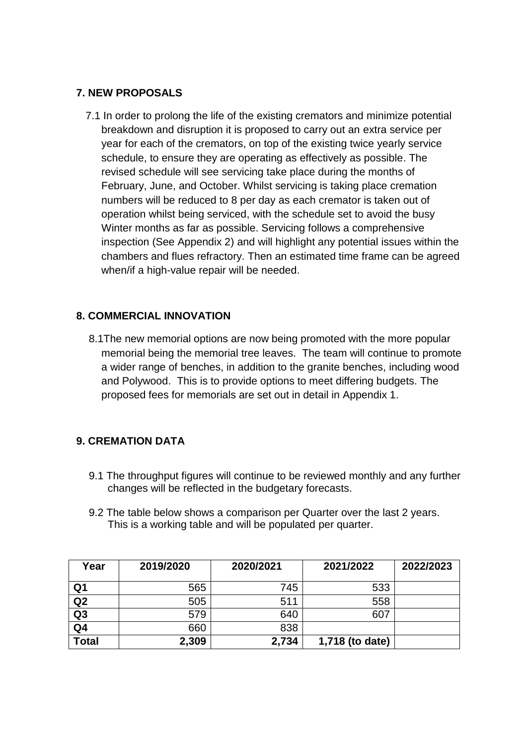## **7. NEW PROPOSALS**

7.1 In order to prolong the life of the existing cremators and minimize potential breakdown and disruption it is proposed to carry out an extra service per year for each of the cremators, on top of the existing twice yearly service schedule, to ensure they are operating as effectively as possible. The revised schedule will see servicing take place during the months of February, June, and October. Whilst servicing is taking place cremation numbers will be reduced to 8 per day as each cremator is taken out of operation whilst being serviced, with the schedule set to avoid the busy Winter months as far as possible. Servicing follows a comprehensive inspection (See Appendix 2) and will highlight any potential issues within the chambers and flues refractory. Then an estimated time frame can be agreed when/if a high-value repair will be needed.

## **8. COMMERCIAL INNOVATION**

8.1The new memorial options are now being promoted with the more popular memorial being the memorial tree leaves. The team will continue to promote a wider range of benches, in addition to the granite benches, including wood and Polywood. This is to provide options to meet differing budgets. The proposed fees for memorials are set out in detail in Appendix 1.

## **9. CREMATION DATA**

- 9.1 The throughput figures will continue to be reviewed monthly and any further changes will be reflected in the budgetary forecasts.
- 9.2 The table below shows a comparison per Quarter over the last 2 years. This is a working table and will be populated per quarter.

| Year           | 2019/2020 | 2020/2021 | 2021/2022       | 2022/2023 |
|----------------|-----------|-----------|-----------------|-----------|
| Q <sub>1</sub> | 565       | 745       | 533             |           |
| Q2             | 505       | 511       | 558             |           |
| Q <sub>3</sub> | 579       | 640       | 607             |           |
| Q <sub>4</sub> | 660       | 838       |                 |           |
| <b>Total</b>   | 2,309     | 2,734     | 1,718 (to date) |           |